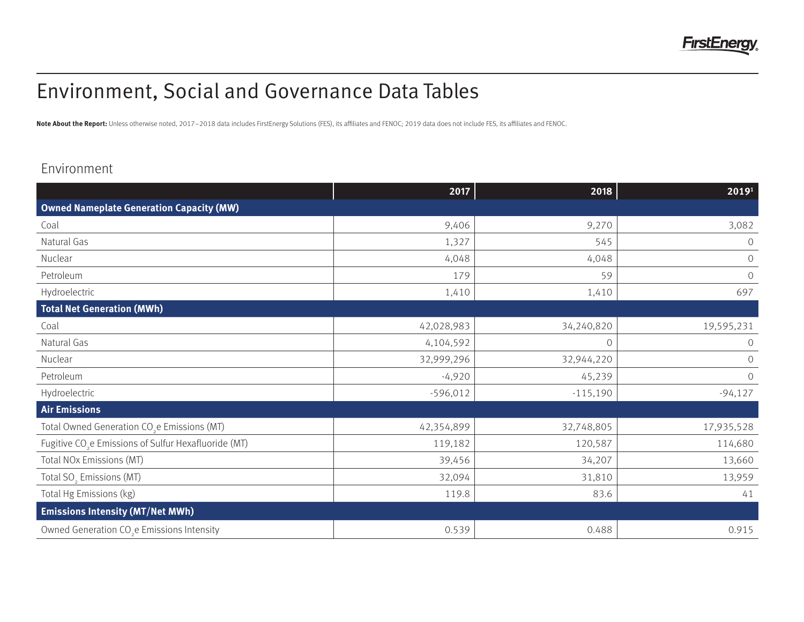

# Environment, Social and Governance Data Tables

Note About the Report: Unless otherwise noted, 2017-2018 data includes FirstEnergy Solutions (FES), its affiliates and FENOC; 2019 data does not include FES, its affiliates and FENOC.

### Environment

|                                                                  | 2017       | 2018       | 2019 <sup>1</sup>   |  |  |
|------------------------------------------------------------------|------------|------------|---------------------|--|--|
| <b>Owned Nameplate Generation Capacity (MW)</b>                  |            |            |                     |  |  |
| Coal                                                             | 9,406      | 9,270      | 3,082               |  |  |
| Natural Gas                                                      | 1,327      | 545        | $\circ$             |  |  |
| Nuclear                                                          | 4,048      | 4,048      | $\cal O$            |  |  |
| Petroleum                                                        | 179        | 59         | $\mathcal O$        |  |  |
| Hydroelectric                                                    | 1,410      | 1,410      | 697                 |  |  |
| <b>Total Net Generation (MWh)</b>                                |            |            |                     |  |  |
| Coal                                                             | 42,028,983 | 34,240,820 | 19,595,231          |  |  |
| Natural Gas                                                      | 4,104,592  | $\bigcirc$ | $\mathcal O$        |  |  |
| Nuclear                                                          | 32,999,296 | 32,944,220 | $\circlearrowright$ |  |  |
| Petroleum                                                        | $-4,920$   | 45,239     | $\circlearrowright$ |  |  |
| Hydroelectric                                                    | $-596,012$ | $-115,190$ | $-94,127$           |  |  |
| <b>Air Emissions</b>                                             |            |            |                     |  |  |
| Total Owned Generation CO <sub>2</sub> e Emissions (MT)          | 42,354,899 | 32,748,805 | 17,935,528          |  |  |
| Fugitive CO <sub>2</sub> e Emissions of Sulfur Hexafluoride (MT) | 119,182    | 120,587    | 114,680             |  |  |
| Total NOx Emissions (MT)                                         | 39,456     | 34,207     | 13,660              |  |  |
| Total SO <sub>2</sub> Emissions (MT)                             | 32,094     | 31,810     | 13,959              |  |  |
| Total Hg Emissions (kg)                                          | 119.8      | 83.6       | 41                  |  |  |
| <b>Emissions Intensity (MT/Net MWh)</b>                          |            |            |                     |  |  |
| Owned Generation CO <sub>2</sub> e Emissions Intensity           | 0.539      | 0.488      | 0.915               |  |  |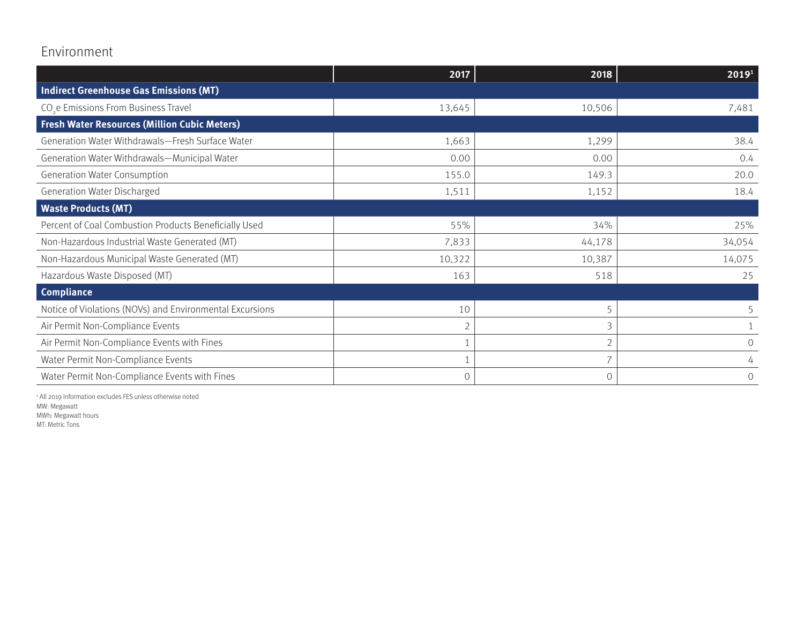## Environment

|                                                          | 2017           | 2018     | 2019 <sup>1</sup> |  |  |
|----------------------------------------------------------|----------------|----------|-------------------|--|--|
| <b>Indirect Greenhouse Gas Emissions (MT)</b>            |                |          |                   |  |  |
| CO <sub>s</sub> e Emissions From Business Travel         | 13,645         | 10,506   | 7,481             |  |  |
| <b>Fresh Water Resources (Million Cubic Meters)</b>      |                |          |                   |  |  |
| Generation Water Withdrawals-Fresh Surface Water         | 1,663          | 1,299    | 38.4              |  |  |
| Generation Water Withdrawals-Municipal Water             | 0.00           | 0.00     | 0.4               |  |  |
| <b>Generation Water Consumption</b>                      | 155.0          | 149.3    | 20.0              |  |  |
| Generation Water Discharged                              | 1,511          | 1,152    | 18.4              |  |  |
| <b>Waste Products (MT)</b>                               |                |          |                   |  |  |
| Percent of Coal Combustion Products Beneficially Used    | 55%            | 34%      | 25%               |  |  |
| Non-Hazardous Industrial Waste Generated (MT)            | 7,833          | 44,178   | 34,054            |  |  |
| Non-Hazardous Municipal Waste Generated (MT)             | 10,322         | 10,387   | 14,075            |  |  |
| Hazardous Waste Disposed (MT)                            | 163            | 518      | 25                |  |  |
| <b>Compliance</b>                                        |                |          |                   |  |  |
| Notice of Violations (NOVs) and Environmental Excursions | 10             | 5        |                   |  |  |
| Air Permit Non-Compliance Events                         | $\overline{2}$ | 3        |                   |  |  |
| Air Permit Non-Compliance Events with Fines              |                |          | $\circ$           |  |  |
| Water Permit Non-Compliance Events                       |                |          | 4                 |  |  |
| Water Permit Non-Compliance Events with Fines            | $\circ$        | $\Omega$ | $\circ$           |  |  |

1 All 2019 information excludes FES unless otherwise noted MW: Megawatt

MWh: Megawatt hours

MT: Metric Tons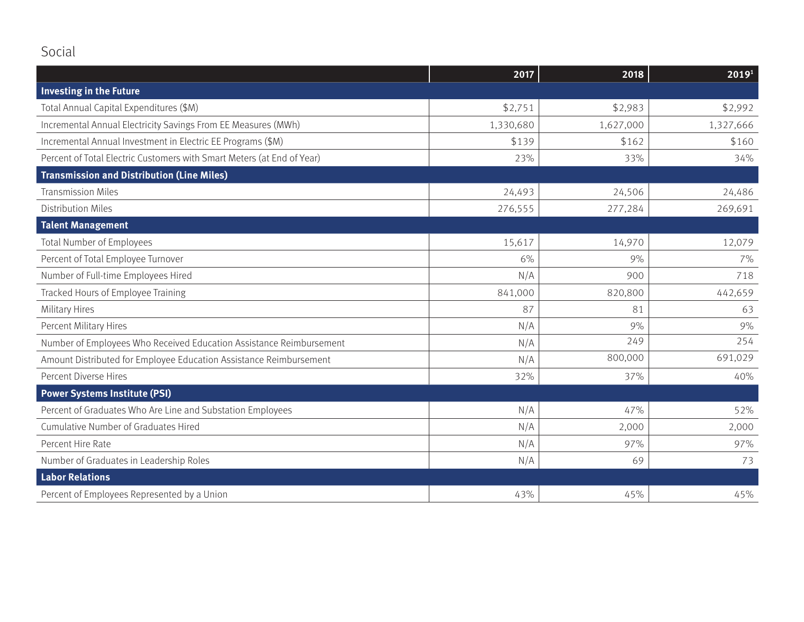|                                                                        | 2017      | 2018      | 2019 <sup>1</sup> |
|------------------------------------------------------------------------|-----------|-----------|-------------------|
| <b>Investing in the Future</b>                                         |           |           |                   |
| Total Annual Capital Expenditures (\$M)                                | \$2,751   | \$2,983   | \$2,992           |
| Incremental Annual Electricity Savings From EE Measures (MWh)          | 1,330,680 | 1,627,000 | 1,327,666         |
| Incremental Annual Investment in Electric EE Programs (\$M)            | \$139     | \$162     | \$160             |
| Percent of Total Electric Customers with Smart Meters (at End of Year) | 23%       | 33%       | 34%               |
| <b>Transmission and Distribution (Line Miles)</b>                      |           |           |                   |
| <b>Transmission Miles</b>                                              | 24,493    | 24,506    | 24,486            |
| <b>Distribution Miles</b>                                              | 276,555   | 277,284   | 269,691           |
| <b>Talent Management</b>                                               |           |           |                   |
| Total Number of Employees                                              | 15,617    | 14,970    | 12,079            |
| Percent of Total Employee Turnover                                     | 6%        | 9%        | 7%                |
| Number of Full-time Employees Hired                                    | N/A       | 900       | 718               |
| Tracked Hours of Employee Training                                     | 841,000   | 820,800   | 442,659           |
| <b>Military Hires</b>                                                  | 87        | 81        | 63                |
| Percent Military Hires                                                 | N/A       | 9%        | 9%                |
| Number of Employees Who Received Education Assistance Reimbursement    | N/A       | 249       | 254               |
| Amount Distributed for Employee Education Assistance Reimbursement     | N/A       | 800,000   | 691,029           |
| Percent Diverse Hires                                                  | 32%       | 37%       | 40%               |
| <b>Power Systems Institute (PSI)</b>                                   |           |           |                   |
| Percent of Graduates Who Are Line and Substation Employees             | N/A       | 47%       | 52%               |
| Cumulative Number of Graduates Hired                                   | N/A       | 2,000     | 2,000             |
| Percent Hire Rate                                                      | N/A       | 97%       | 97%               |
| Number of Graduates in Leadership Roles                                | N/A       | 69        | 73                |
| <b>Labor Relations</b>                                                 |           |           |                   |
| Percent of Employees Represented by a Union                            | 43%       | 45%       | 45%               |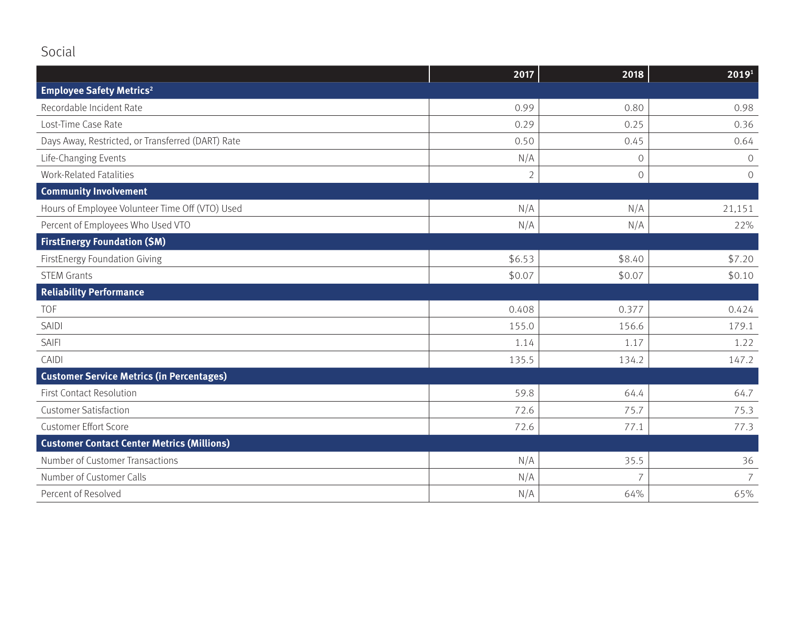|                                                   | 2017           | 2018           | 2019 <sup>1</sup> |
|---------------------------------------------------|----------------|----------------|-------------------|
| <b>Employee Safety Metrics<sup>2</sup></b>        |                |                |                   |
| Recordable Incident Rate                          | 0.99           | 0.80           | 0.98              |
| Lost-Time Case Rate                               | 0.29           | 0.25           | 0.36              |
| Days Away, Restricted, or Transferred (DART) Rate | 0.50           | 0.45           | 0.64              |
| Life-Changing Events                              | N/A            | $\circ$        | $\overline{O}$    |
| <b>Work-Related Fatalities</b>                    | $\overline{2}$ | $\mathcal{O}$  | $\Omega$          |
| <b>Community Involvement</b>                      |                |                |                   |
| Hours of Employee Volunteer Time Off (VTO) Used   | N/A            | N/A            | 21,151            |
| Percent of Employees Who Used VTO                 | N/A            | N/A            | 22%               |
| <b>FirstEnergy Foundation (\$M)</b>               |                |                |                   |
| FirstEnergy Foundation Giving                     | \$6.53         | \$8.40         | \$7.20            |
| <b>STEM Grants</b>                                | \$0.07         | \$0.07         | \$0.10            |
| <b>Reliability Performance</b>                    |                |                |                   |
| <b>TOF</b>                                        | 0.408          | 0.377          | 0.424             |
| <b>SAIDI</b>                                      | 155.0          | 156.6          | 179.1             |
| <b>SAIFI</b>                                      | 1.14           | 1.17           | 1.22              |
| CAIDI                                             | 135.5          | 134.2          | 147.2             |
| <b>Customer Service Metrics (in Percentages)</b>  |                |                |                   |
| <b>First Contact Resolution</b>                   | 59.8           | 64.4           | 64.7              |
| <b>Customer Satisfaction</b>                      | 72.6           | 75.7           | 75.3              |
| <b>Customer Effort Score</b>                      | 72.6           | 77.1           | 77.3              |
| <b>Customer Contact Center Metrics (Millions)</b> |                |                |                   |
| Number of Customer Transactions                   | N/A            | 35.5           | 36                |
| Number of Customer Calls                          | N/A            | $\overline{7}$ | $\overline{7}$    |
| Percent of Resolved                               | N/A            | 64%            | 65%               |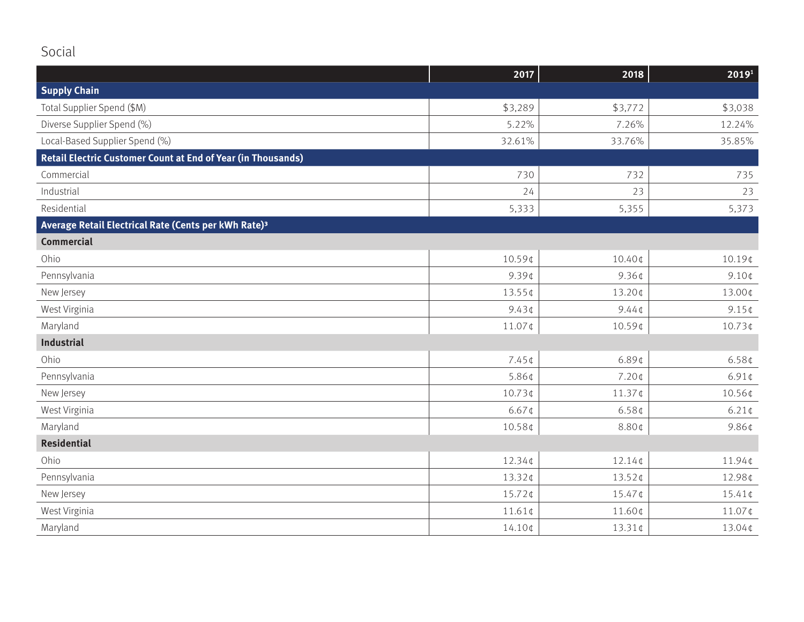|                                                                  | 2017             | 2018               | 2019 <sup>1</sup>  |
|------------------------------------------------------------------|------------------|--------------------|--------------------|
| <b>Supply Chain</b>                                              |                  |                    |                    |
| Total Supplier Spend (\$M)                                       | \$3,289          | \$3,772            | \$3,038            |
| Diverse Supplier Spend (%)                                       | 5.22%            | 7.26%              | 12.24%             |
| Local-Based Supplier Spend (%)                                   | 32.61%           | 33.76%             | 35.85%             |
| Retail Electric Customer Count at End of Year (in Thousands)     |                  |                    |                    |
| Commercial                                                       | 730              | 732                | 735                |
| Industrial                                                       | 24               | 23                 | 23                 |
| Residential                                                      | 5,333            | 5,355              | 5,373              |
| Average Retail Electrical Rate (Cents per kWh Rate) <sup>3</sup> |                  |                    |                    |
| <b>Commercial</b>                                                |                  |                    |                    |
| Ohio                                                             | 10.59¢           | 10.40¢             | $10.19$ ¢          |
| Pennsylvania                                                     | $9.39$ ¢         | 9.36¢              | $9.10$ ¢           |
| New Jersey                                                       | 13.55¢           | 13.20¢             | 13.00¢             |
| West Virginia                                                    | $9.43$ ¢         | $9.44 \, \text{C}$ | $9.15$ ¢           |
| Maryland                                                         | 11.07¢           | 10.59¢             | 10.73¢             |
| Industrial                                                       |                  |                    |                    |
| Ohio                                                             | $7.45$ ¢         | $6.89$ ¢           | 6.58 <sub>¢</sub>  |
| Pennsylvania                                                     | 5.86¢            | 7.20¢              | $6.91 \, \text{C}$ |
| New Jersey                                                       | 10.73¢           | $11.37$ ¢          | 10.56¢             |
| West Virginia                                                    | $6.67$ ¢         | 6.58 <sub>¢</sub>  | $6.21 \, \text{C}$ |
| Maryland                                                         | 10.58¢           | 8.80¢              | 9.86¢              |
| <b>Residential</b>                                               |                  |                    |                    |
| Ohio                                                             | 12.34¢           | $12.14$ ¢          | 11.94¢             |
| Pennsylvania                                                     | 13.32¢           | 13.52¢             | 12.98¢             |
| New Jersey                                                       | 15.72¢           | 15.47¢             | $15.41$ ¢          |
| West Virginia                                                    | $11.61 \text{C}$ | 11.60¢             | 11.07¢             |
| Maryland                                                         | 14.10¢           | 13.31¢             | 13.04¢             |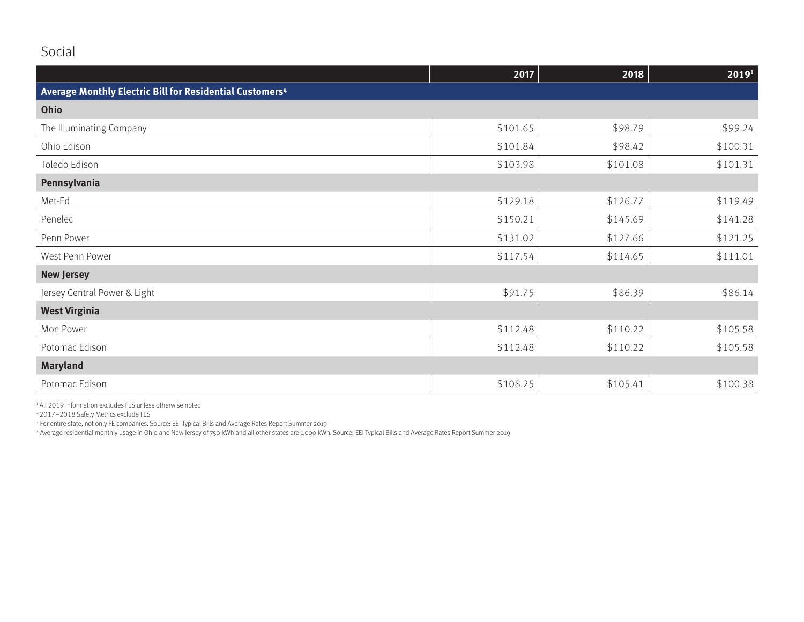|                                                                      | 2017     | 2018     | 2019 <sup>1</sup> |
|----------------------------------------------------------------------|----------|----------|-------------------|
| Average Monthly Electric Bill for Residential Customers <sup>4</sup> |          |          |                   |
| Ohio                                                                 |          |          |                   |
| The Illuminating Company                                             | \$101.65 | \$98.79  | \$99.24           |
| Ohio Edison                                                          | \$101.84 | \$98.42  | \$100.31          |
| Toledo Edison                                                        | \$103.98 | \$101.08 | \$101.31          |
| Pennsylvania                                                         |          |          |                   |
| Met-Ed                                                               | \$129.18 | \$126.77 | \$119.49          |
| Penelec                                                              | \$150.21 | \$145.69 | \$141.28          |
| Penn Power                                                           | \$131.02 | \$127.66 | \$121.25          |
| West Penn Power                                                      | \$117.54 | \$114.65 | \$111.01          |
| <b>New Jersey</b>                                                    |          |          |                   |
| Jersey Central Power & Light                                         | \$91.75  | \$86.39  | \$86.14           |
| <b>West Virginia</b>                                                 |          |          |                   |
| Mon Power                                                            | \$112.48 | \$110.22 | \$105.58          |
| Potomac Edison                                                       | \$112.48 | \$110.22 | \$105.58          |
| <b>Maryland</b>                                                      |          |          |                   |
| Potomac Edison                                                       | \$108.25 | \$105.41 | \$100.38          |

1 All 2019 information excludes FES unless otherwise noted

2 2017–2018 Safety Metrics exclude FES

3 For entire state, not only FE companies. Source: EEI Typical Bills and Average Rates Report Summer 2019<br>4 Average residential monthly usage in Ohio and New Jersey of 750 kWh and all other states are 1,000 kWh. Source: EE